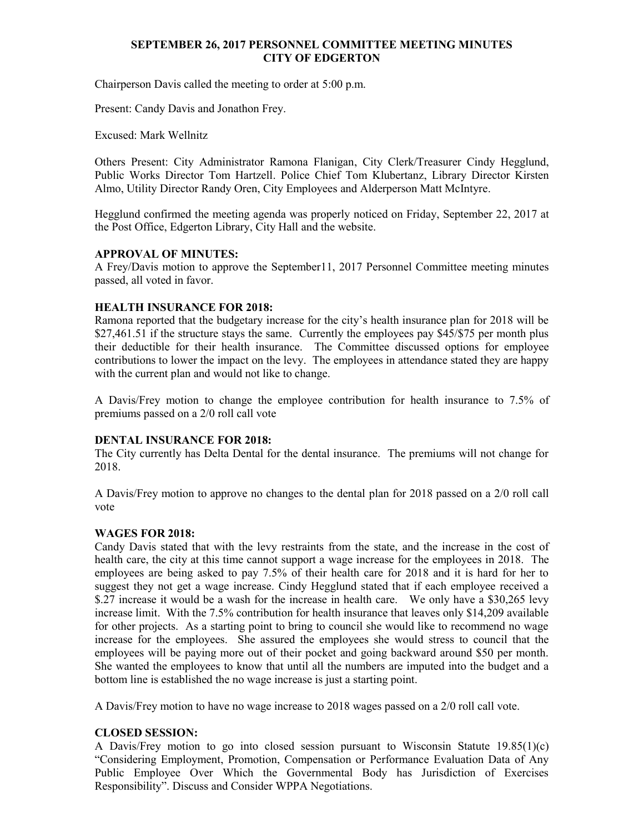### **SEPTEMBER 26, 2017 PERSONNEL COMMITTEE MEETING MINUTES CITY OF EDGERTON**

Chairperson Davis called the meeting to order at 5:00 p.m.

Present: Candy Davis and Jonathon Frey.

Excused: Mark Wellnitz

Others Present: City Administrator Ramona Flanigan, City Clerk/Treasurer Cindy Hegglund, Public Works Director Tom Hartzell. Police Chief Tom Klubertanz, Library Director Kirsten Almo, Utility Director Randy Oren, City Employees and Alderperson Matt McIntyre.

Hegglund confirmed the meeting agenda was properly noticed on Friday, September 22, 2017 at the Post Office, Edgerton Library, City Hall and the website.

## **APPROVAL OF MINUTES:**

A Frey/Davis motion to approve the September11, 2017 Personnel Committee meeting minutes passed, all voted in favor.

# **HEALTH INSURANCE FOR 2018:**

Ramona reported that the budgetary increase for the city's health insurance plan for 2018 will be \$27,461.51 if the structure stays the same. Currently the employees pay \$45/\$75 per month plus their deductible for their health insurance. The Committee discussed options for employee contributions to lower the impact on the levy. The employees in attendance stated they are happy with the current plan and would not like to change.

A Davis/Frey motion to change the employee contribution for health insurance to 7.5% of premiums passed on a 2/0 roll call vote

## **DENTAL INSURANCE FOR 2018:**

The City currently has Delta Dental for the dental insurance. The premiums will not change for 2018.

A Davis/Frey motion to approve no changes to the dental plan for 2018 passed on a 2/0 roll call vote

## **WAGES FOR 2018:**

Candy Davis stated that with the levy restraints from the state, and the increase in the cost of health care, the city at this time cannot support a wage increase for the employees in 2018. The employees are being asked to pay 7.5% of their health care for 2018 and it is hard for her to suggest they not get a wage increase. Cindy Hegglund stated that if each employee received a \$.27 increase it would be a wash for the increase in health care. We only have a \$30,265 levy increase limit. With the 7.5% contribution for health insurance that leaves only \$14,209 available for other projects. As a starting point to bring to council she would like to recommend no wage increase for the employees. She assured the employees she would stress to council that the employees will be paying more out of their pocket and going backward around \$50 per month. She wanted the employees to know that until all the numbers are imputed into the budget and a bottom line is established the no wage increase is just a starting point.

A Davis/Frey motion to have no wage increase to 2018 wages passed on a 2/0 roll call vote.

## **CLOSED SESSION:**

A Davis/Frey motion to go into closed session pursuant to Wisconsin Statute 19.85(1)(c) "Considering Employment, Promotion, Compensation or Performance Evaluation Data of Any Public Employee Over Which the Governmental Body has Jurisdiction of Exercises Responsibility". Discuss and Consider WPPA Negotiations.